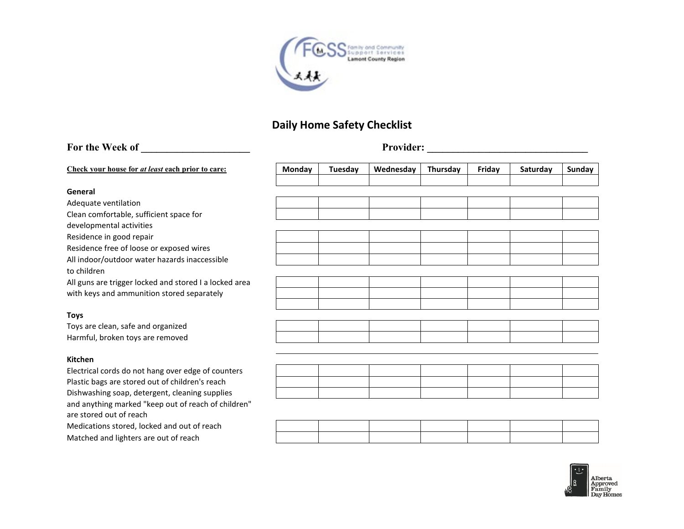

# **Daily Home Safety Checklist**

# For the Week of **Provider: Provider: Provider: Provider: Provider: Provider: Provider: Provider: Provider: Provider: Provider: Provider: Provider: Provider: Provider: Provider: Provider: P Check your house for** *at least* **each prior to care: Monday Tuesday Wednesday Thursday Friday Saturday Sunday General** Adequate ventilation Clean comfortable, sufficient space for developmental activities Residence in good repair Residence free of loose or exposed wires All indoor/outdoor water hazards inaccessible to children All guns are trigger locked and stored I a locked area with keys and ammunition stored separately **Toys** Toys are clean, safe and organized Harmful, broken toys are removed **Kitchen** Electrical cords do not hang over edge of counters Plastic bags are stored out of children's reach Dishwashing soap, detergent, cleaning supplies and anything marked "keep out of reach of children"

are stored out of reach

Medications stored, locked and out of reach Matched and lighters are out of reach

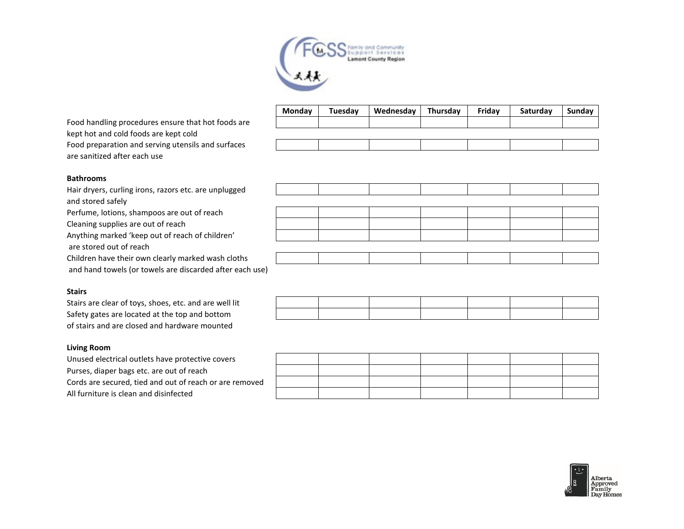

Food handling procedures ensure that hot foods are kept hot and cold foods are kept cold Food preparation and serving utensils and surfaces are sanitized after each use

| Monday | Tuesday | Wednesday | Thursday | Fridav | Saturday | Sunday |
|--------|---------|-----------|----------|--------|----------|--------|
|        |         |           |          |        |          |        |
|        |         |           |          |        |          |        |
|        |         |           |          |        |          |        |
|        |         |           |          |        |          |        |

# **Bathrooms**

Hair dryers, curling irons, razors etc. are unplugged and stored safely Perfume, lotions, shampoos are out of reach Cleaning supplies are out of reach Anything marked 'keep out of reach of children' are stored out of reach Children have their own clearly marked wash cloths and hand towels (or towels are discarded after each use)

## **Stairs**

Stairs are clear of toys, shoes, etc. and are well lit Safety gates are located at the top and bottom of stairs and are closed and hardware mounted

## **Living Room**

Unused electrical outlets have protective covers Purses, diaper bags etc. are out of reach Cords are secured, tied and out of reach or are removed All furniture is clean and disinfected